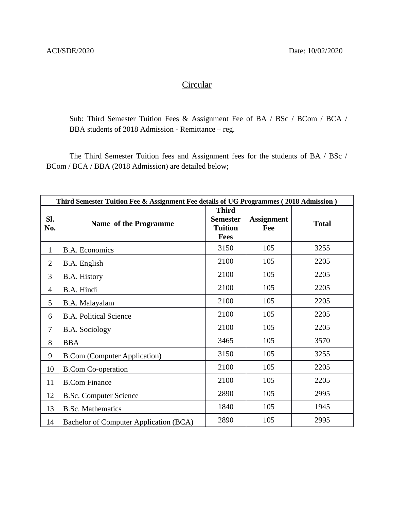## **Circular**

Sub: Third Semester Tuition Fees & Assignment Fee of BA / BSc / BCom / BCA / BBA students of 2018 Admission - Remittance – reg.

The Third Semester Tuition fees and Assignment fees for the students of BA / BSc / BCom / BCA / BBA (2018 Admission) are detailed below;

| Third Semester Tuition Fee & Assignment Fee details of UG Programmes (2018 Admission) |                                        |                                                                  |                          |              |  |
|---------------------------------------------------------------------------------------|----------------------------------------|------------------------------------------------------------------|--------------------------|--------------|--|
| SI.<br>No.                                                                            | Name of the Programme                  | <b>Third</b><br><b>Semester</b><br><b>Tuition</b><br><b>Fees</b> | <b>Assignment</b><br>Fee | <b>Total</b> |  |
| $\mathbf{1}$                                                                          | <b>B.A. Economics</b>                  | 3150                                                             | 105                      | 3255         |  |
| $\overline{2}$                                                                        | B.A. English                           | 2100                                                             | 105                      | 2205         |  |
| 3                                                                                     | B.A. History                           | 2100                                                             | 105                      | 2205         |  |
| 4                                                                                     | B.A. Hindi                             | 2100                                                             | 105                      | 2205         |  |
| 5                                                                                     | B.A. Malayalam                         | 2100                                                             | 105                      | 2205         |  |
| 6                                                                                     | <b>B.A. Political Science</b>          | 2100                                                             | 105                      | 2205         |  |
| 7                                                                                     | <b>B.A.</b> Sociology                  | 2100                                                             | 105                      | 2205         |  |
| 8                                                                                     | <b>BBA</b>                             | 3465                                                             | 105                      | 3570         |  |
| 9                                                                                     | <b>B.Com (Computer Application)</b>    | 3150                                                             | 105                      | 3255         |  |
| 10                                                                                    | <b>B.Com Co-operation</b>              | 2100                                                             | 105                      | 2205         |  |
| 11                                                                                    | <b>B.Com Finance</b>                   | 2100                                                             | 105                      | 2205         |  |
| 12                                                                                    | <b>B.Sc. Computer Science</b>          | 2890                                                             | 105                      | 2995         |  |
| 13                                                                                    | <b>B.Sc. Mathematics</b>               | 1840                                                             | 105                      | 1945         |  |
| 14                                                                                    | Bachelor of Computer Application (BCA) | 2890                                                             | 105                      | 2995         |  |